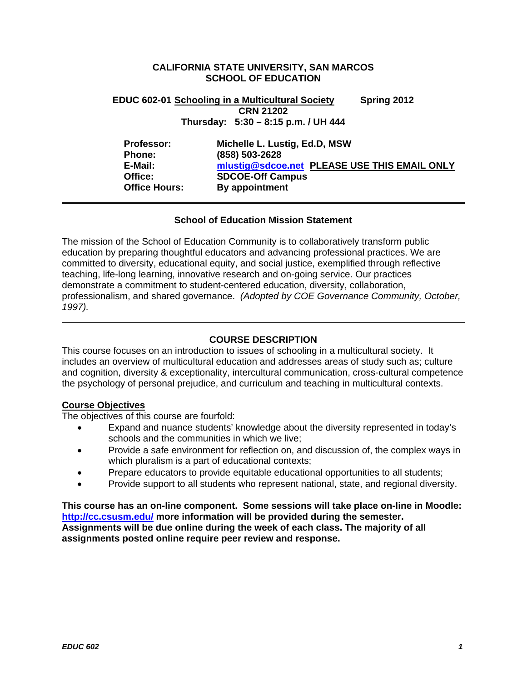# **CALIFORNIA STATE UNIVERSITY, SAN MARCOS SCHOOL OF EDUCATION**

# **Thursday: 5:30 – 8:15 p.m. / UH 444 EDUC 602-01 Schooling in a Multicultural Society Spring 2012 CRN 21202**

| Professor:           | Michelle L. Lustig, Ed.D, MSW                |
|----------------------|----------------------------------------------|
| Phone:               | (858) 503-2628                               |
| E-Mail:              | mlustig@sdcoe.net PLEASE USE THIS EMAIL ONLY |
| Office:              | <b>SDCOE-Off Campus</b>                      |
| <b>Office Hours:</b> | By appointment                               |

# **School of Education Mission Statement**

The mission of the School of Education Community is to collaboratively transform public education by preparing thoughtful educators and advancing professional practices. We are committed to diversity, educational equity, and social justice, exemplified through reflective teaching, life-long learning, innovative research and on-going service. Our practices demonstrate a commitment to student-centered education, diversity, collaboration, professionalism, and shared governance. *(Adopted by COE Governance Community, October, 1997).* 

# **COURSE DESCRIPTION**

This course focuses on an introduction to issues of schooling in a multicultural society. It includes an overview of multicultural education and addresses areas of study such as; culture and cognition, diversity & exceptionality, intercultural communication, cross-cultural competence the psychology of personal prejudice, and curriculum and teaching in multicultural contexts.

# **Course Objectives**

The objectives of this course are fourfold:

- Expand and nuance students' knowledge about the diversity represented in today's schools and the communities in which we live;
- Provide a safe environment for reflection on, and discussion of, the complex ways in which pluralism is a part of educational contexts;
- Prepare educators to provide equitable educational opportunities to all students;
- Provide support to all students who represent national, state, and regional diversity.

**This course has an on-line component. Some sessions will take place on-line in Moodle: http://cc.csusm.edu/ more information will be provided during the semester. Assignments will be due online during the week of each class. The majority of all assignments posted online require peer review and response.**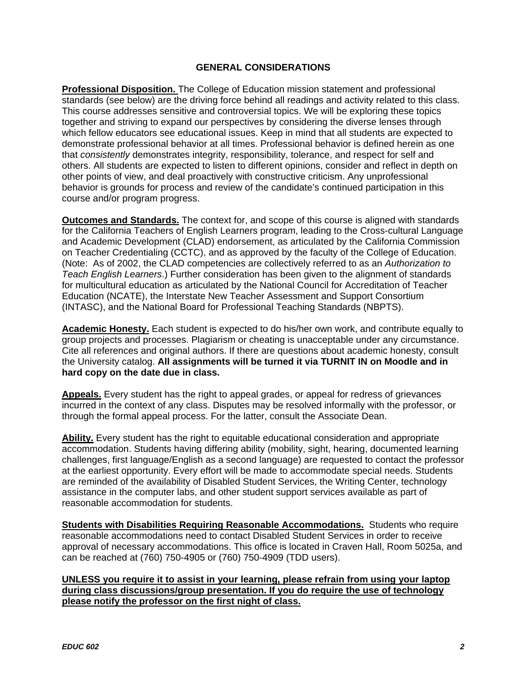# **GENERAL CONSIDERATIONS**

**Professional Disposition.** The College of Education mission statement and professional standards (see below) are the driving force behind all readings and activity related to this class. This course addresses sensitive and controversial topics. We will be exploring these topics together and striving to expand our perspectives by considering the diverse lenses through which fellow educators see educational issues. Keep in mind that all students are expected to demonstrate professional behavior at all times. Professional behavior is defined herein as one that *consistently* demonstrates integrity, responsibility, tolerance, and respect for self and others. All students are expected to listen to different opinions, consider and reflect in depth on other points of view, and deal proactively with constructive criticism. Any unprofessional behavior is grounds for process and review of the candidate's continued participation in this course and/or program progress.

**Outcomes and Standards.** The context for, and scope of this course is aligned with standards for the California Teachers of English Learners program, leading to the Cross-cultural Language and Academic Development (CLAD) endorsement, as articulated by the California Commission on Teacher Credentialing (CCTC), and as approved by the faculty of the College of Education. (Note: As of 2002, the CLAD competencies are collectively referred to as an *Authorization to Teach English Learners*.) Further consideration has been given to the alignment of standards for multicultural education as articulated by the National Council for Accreditation of Teacher Education (NCATE), the Interstate New Teacher Assessment and Support Consortium (INTASC), and the National Board for Professional Teaching Standards (NBPTS).

hard copy on the date due in class. **Academic Honesty.** Each student is expected to do his/her own work, and contribute equally to group projects and processes. Plagiarism or cheating is unacceptable under any circumstance. Cite all references and original authors. If there are questions about academic honesty, consult the University catalog. **All assignments will be turned it via TURNIT IN on Moodle and in** 

Appeals. Every student has the right to appeal grades, or appeal for redress of grievances incurred in the context of any class. Disputes may be resolved informally with the professor, or through the formal appeal process. For the latter, consult the Associate Dean.

**Ability.** Every student has the right to equitable educational consideration and appropriate accommodation. Students having differing ability (mobility, sight, hearing, documented learning challenges, first language/English as a second language) are requested to contact the professor at the earliest opportunity. Every effort will be made to accommodate special needs. Students are reminded of the availability of Disabled Student Services, the Writing Center, technology assistance in the computer labs, and other student support services available as part of reasonable accommodation for students.

**Students with Disabilities Requiring Reasonable Accommodations.** Students who require reasonable accommodations need to contact Disabled Student Services in order to receive approval of necessary accommodations. This office is located in Craven Hall, Room 5025a, and can be reached at (760) 750-4905 or (760) 750-4909 (TDD users).

# **UNLESS you require it to assist in your learning, please refrain from using your laptop during class discussions/group presentation. If you do require the use of technology please notify the professor on the first night of class.**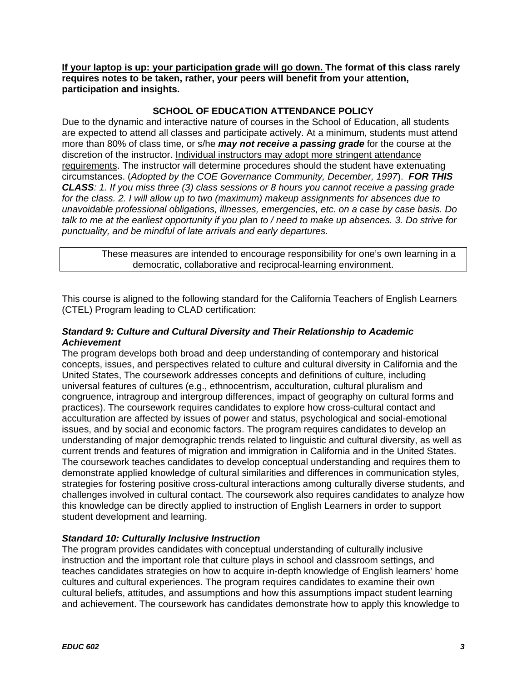**If your laptop is up: your participation grade will go down. The format of this class rarely requires notes to be taken, rather, your peers will benefit from your attention, participation and insights.** 

# **SCHOOL OF EDUCATION ATTENDANCE POLICY**

Due to the dynamic and interactive nature of courses in the School of Education, all students are expected to attend all classes and participate actively. At a minimum, students must attend more than 80% of class time, or s/he *may not receive a passing grade* for the course at the discretion of the instructor. Individual instructors may adopt more stringent attendance requirements. The instructor will determine procedures should the student have extenuating circumstances. (*Adopted by the COE Governance Community, December, 1997*). *FOR THIS CLASS: 1. If you miss three (3) class sessions or 8 hours you cannot receive a passing grade for the class. 2. I will allow up to two (maximum) makeup assignments for absences due to unavoidable professional obligations, illnesses, emergencies, etc. on a case by case basis. Do talk to me at the earliest opportunity if you plan to / need to make up absences. 3. Do strive for punctuality, and be mindful of late arrivals and early departures.* 

These measures are intended to encourage responsibility for one's own learning in a democratic, collaborative and reciprocal-learning environment.

This course is aligned to the following standard for the California Teachers of English Learners (CTEL) Program leading to CLAD certification:

# *Standard 9: Culture and Cultural Diversity and Their Relationship to Academic Achievement*

The program develops both broad and deep understanding of contemporary and historical concepts, issues, and perspectives related to culture and cultural diversity in California and the United States, The coursework addresses concepts and definitions of culture, including universal features of cultures (e.g., ethnocentrism, acculturation, cultural pluralism and congruence, intragroup and intergroup differences, impact of geography on cultural forms and practices). The coursework requires candidates to explore how cross-cultural contact and acculturation are affected by issues of power and status, psychological and social-emotional issues, and by social and economic factors. The program requires candidates to develop an understanding of major demographic trends related to linguistic and cultural diversity, as well as current trends and features of migration and immigration in California and in the United States. The coursework teaches candidates to develop conceptual understanding and requires them to demonstrate applied knowledge of cultural similarities and differences in communication styles, strategies for fostering positive cross-cultural interactions among culturally diverse students, and challenges involved in cultural contact. The coursework also requires candidates to analyze how this knowledge can be directly applied to instruction of English Learners in order to support student development and learning.

# *Standard 10: Culturally Inclusive Instruction*

The program provides candidates with conceptual understanding of culturally inclusive instruction and the important role that culture plays in school and classroom settings, and teaches candidates strategies on how to acquire in-depth knowledge of English learners' home cultures and cultural experiences. The program requires candidates to examine their own cultural beliefs, attitudes, and assumptions and how this assumptions impact student learning and achievement. The coursework has candidates demonstrate how to apply this knowledge to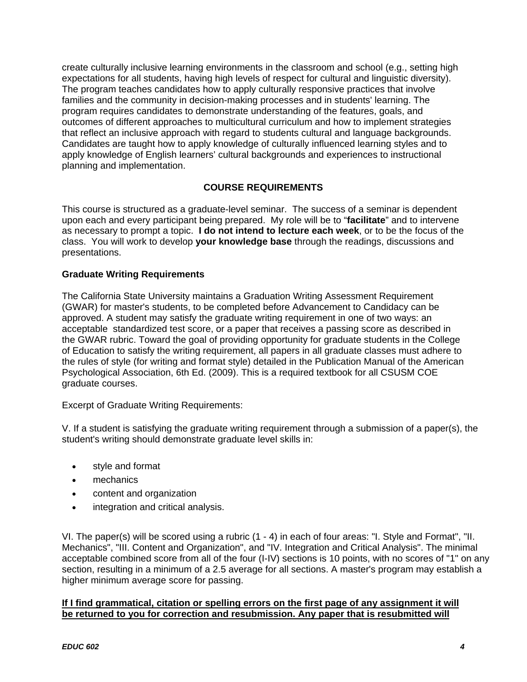create culturally inclusive learning environments in the classroom and school (e.g., setting high expectations for all students, having high levels of respect for cultural and linguistic diversity). The program teaches candidates how to apply culturally responsive practices that involve families and the community in decision-making processes and in students' learning. The program requires candidates to demonstrate understanding of the features, goals, and outcomes of different approaches to multicultural curriculum and how to implement strategies that reflect an inclusive approach with regard to students cultural and language backgrounds. Candidates are taught how to apply knowledge of culturally influenced learning styles and to apply knowledge of English learners' cultural backgrounds and experiences to instructional planning and implementation.

# **COURSE REQUIREMENTS**

This course is structured as a graduate-level seminar. The success of a seminar is dependent upon each and every participant being prepared. My role will be to "**facilitate**" and to intervene as necessary to prompt a topic. **I do not intend to lecture each week**, or to be the focus of the class. You will work to develop **your knowledge base** through the readings, discussions and presentations.

# **Graduate Writing Requirements**

The California State University maintains a Graduation Writing Assessment Requirement (GWAR) for master's students, to be completed before Advancement to Candidacy can be approved. A student may satisfy the graduate writing requirement in one of two ways: an acceptable standardized test score, or a paper that receives a passing score as described in the GWAR rubric. Toward the goal of providing opportunity for graduate students in the College of Education to satisfy the writing requirement, all papers in all graduate classes must adhere to the rules of style (for writing and format style) detailed in the Publication Manual of the American Psychological Association, 6th Ed. (2009). This is a required textbook for all CSUSM COE graduate courses.

Excerpt of Graduate Writing Requirements:

V. If a student is satisfying the graduate writing requirement through a submission of a paper(s), the student's writing should demonstrate graduate level skills in:

- style and format
- mechanics
- content and organization
- integration and critical analysis.

VI. The paper(s) will be scored using a rubric (1 - 4) in each of four areas: "I. Style and Format", "II. Mechanics", "III. Content and Organization", and "IV. Integration and Critical Analysis". The minimal acceptable combined score from all of the four (I-IV) sections is 10 points, with no scores of "1" on any section, resulting in a minimum of a 2.5 average for all sections. A master's program may establish a higher minimum average score for passing.

# **If I find grammatical, citation or spelling errors on the first page of any assignment it will be returned to you for correction and resubmission. Any paper that is resubmitted will**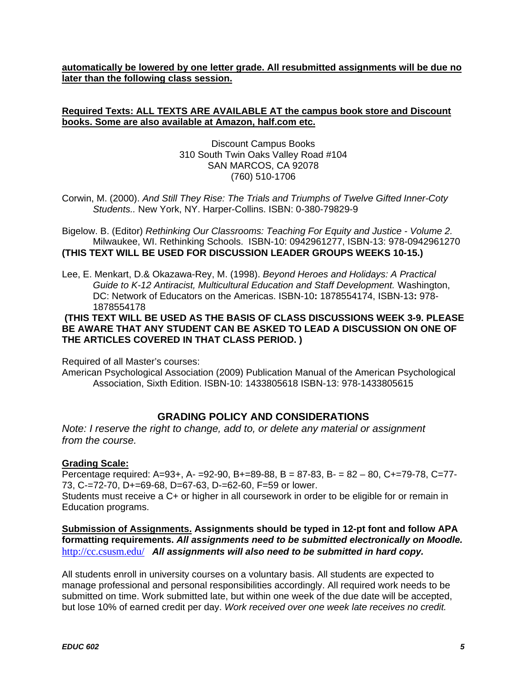**automatically be lowered by one letter grade. All resubmitted assignments will be due no later than the following class session.** 

# **Required Texts: ALL TEXTS ARE AVAILABLE AT the campus book store and Discount books. Some are also available at Amazon, half.com etc.**

Discount Campus Books 310 South Twin Oaks Valley Road #104 SAN MARCOS, CA 92078 (760) 510-1706

Corwin, M. (2000). *And Still They Rise: The Trials and Triumphs of Twelve Gifted Inner-Coty Students..* New York, NY. Harper-Collins. ISBN: 0-380-79829-9

Bigelow. B. (Editor) *Rethinking Our Classrooms: Teaching For Equity and Justice - Volume 2.*  Milwaukee, WI. Rethinking Schools. ISBN-10: 0942961277, ISBN-13: 978-0942961270 **(THIS TEXT WILL BE USED FOR DISCUSSION LEADER GROUPS WEEKS 10-15.)** 

Lee, E. Menkart, D.& Okazawa-Rey, M. (1998). *Beyond Heroes and Holidays: A Practical Guide to K-12 Antiracist, Multicultural Education and Staff Development.* Washington, DC: Network of Educators on the Americas. ISBN-10**:** 1878554174, ISBN-13**:** 978- 1878554178

# **(THIS TEXT WILL BE USED AS THE BASIS OF CLASS DISCUSSIONS WEEK 3-9. PLEASE BE AWARE THAT ANY STUDENT CAN BE ASKED TO LEAD A DISCUSSION ON ONE OF THE ARTICLES COVERED IN THAT CLASS PERIOD. )**

Required of all Master's courses:

American Psychological Association (2009) Publication Manual of the American Psychological Association, Sixth Edition. ISBN-10: 1433805618 ISBN-13: 978-1433805615

# **GRADING POLICY AND CONSIDERATIONS**

*Note: I reserve the right to change, add to, or delete any material or assignment from the course.* 

# **Grading Scale:**

Percentage required: A=93+, A- =92-90, B+=89-88, B = 87-83, B- = 82 – 80, C+=79-78, C=77- 73, C-=72-70, D+=69-68, D=67-63, D-=62-60, F=59 or lower.

Students must receive a C+ or higher in all coursework in order to be eligible for or remain in Education programs.

# http://cc.csusm.edu/ *All assignments will also need to be submitted in hard copy.*  **Submission of Assignments. Assignments should be typed in 12-pt font and follow APA formatting requirements.** *All assignments need to be submitted electronically on Moodle.*

 but lose 10% of earned credit per day. *Work received over one week late receives no credit.*  All students enroll in university courses on a voluntary basis. All students are expected to manage professional and personal responsibilities accordingly. All required work needs to be submitted on time. Work submitted late, but within one week of the due date will be accepted,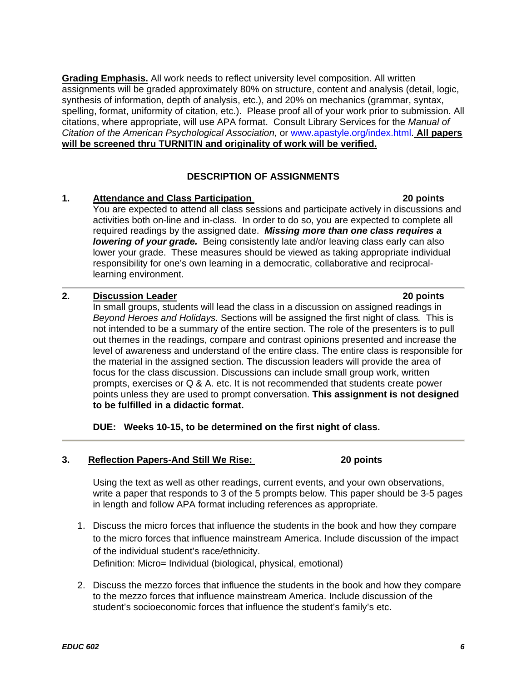**Grading Emphasis.** All work needs to reflect university level composition. All written assignments will be graded approximately 80% on structure, content and analysis (detail, logic, synthesis of information, depth of analysis, etc.), and 20% on mechanics (grammar, syntax, spelling, format, uniformity of citation, etc.). Please proof all of your work prior to submission. All citations, where appropriate, will use APA format. Consult Library Services for the *Manual of Citation of the American Psychological Association,* or www.apastyle.org/index.html. **All papers will be screened thru TURNITIN and originality of work will be verified.** 

# **DESCRIPTION OF ASSIGNMENTS**

# **1.** Attendance and Class Participation

You are expected to attend all class sessions and participate actively in discussions and activities both on-line and in-class. In order to do so, you are expected to complete all required readings by the assigned date. *Missing more than one class requires a lowering of your grade.* Being consistently late and/or leaving class early can also lower your grade. These measures should be viewed as taking appropriate individual responsibility for one's own learning in a democratic, collaborative and reciprocallearning environment.

# **2.** Discussion Leader **20 points 20 points**

In small groups, students will lead the class in a discussion on assigned readings in *Beyond Heroes and Holidays.* Sections will be assigned the first night of class*.* This is not intended to be a summary of the entire section. The role of the presenters is to pull out themes in the readings, compare and contrast opinions presented and increase the level of awareness and understand of the entire class. The entire class is responsible for the material in the assigned section. The discussion leaders will provide the area of focus for the class discussion. Discussions can include small group work, written prompts, exercises or Q & A. etc. It is not recommended that students create power points unless they are used to prompt conversation. **This assignment is not designed to be fulfilled in a didactic format.** 

**DUE: Weeks 10-15, to be determined on the first night of class.** 

# **3. Reflection Papers-And Still We Rise: 20 points**

Using the text as well as other readings, current events, and your own observations, write a paper that responds to 3 of the 5 prompts below. This paper should be 3-5 pages in length and follow APA format including references as appropriate.

1. Discuss the micro forces that influence the students in the book and how they compare to the micro forces that influence mainstream America. Include discussion of the impact of the individual student's race/ethnicity. Definition: Micro= Individual (biological, physical, emotional)

2. Discuss the mezzo forces that influence the students in the book and how they compare to the mezzo forces that influence mainstream America. Include discussion of the student's socioeconomic forces that influence the student's family's etc.

# 20 points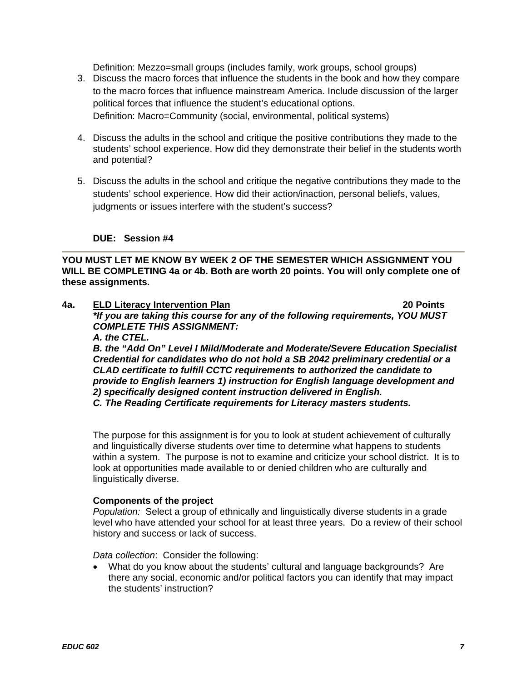Definition: Mezzo=small groups (includes family, work groups, school groups)

- 3. Discuss the macro forces that influence the students in the book and how they compare to the macro forces that influence mainstream America. Include discussion of the larger political forces that influence the student's educational options. Definition: Macro=Community (social, environmental, political systems)
- 4. Discuss the adults in the school and critique the positive contributions they made to the students' school experience. How did they demonstrate their belief in the students worth and potential?
- 5. Discuss the adults in the school and critique the negative contributions they made to the students' school experience. How did their action/inaction, personal beliefs, values, judgments or issues interfere with the student's success?

# **DUE: Session #4**

**YOU MUST LET ME KNOW BY WEEK 2 OF THE SEMESTER WHICH ASSIGNMENT YOU WILL BE COMPLETING 4a or 4b. Both are worth 20 points. You will only complete one of these assignments.** 

 **4a. ELD Literacy Intervention Plan 20 Points**  *\*If you are taking this course for any of the following requirements, YOU MUST COMPLETE THIS ASSIGNMENT: A. the CTEL.* 

*B. the "Add On" Level I Mild/Moderate and Moderate/Severe Education Specialist Credential for candidates who do not hold a SB 2042 preliminary credential or a CLAD certificate to fulfill CCTC requirements to authorized the candidate to provide to English learners 1) instruction for English language development and 2) specifically designed content instruction delivered in English. C. The Reading Certificate requirements for Literacy masters students.* 

The purpose for this assignment is for you to look at student achievement of culturally

and linguistically diverse students over time to determine what happens to students within a system. The purpose is not to examine and criticize your school district. It is to look at opportunities made available to or denied children who are culturally and linguistically diverse.

#### **Components of the project**

 *Population:* Select a group of ethnically and linguistically diverse students in a grade level who have attended your school for at least three years. Do a review of their school history and success or lack of success.

*Data collection*: Consider the following:

 What do you know about the students' cultural and language backgrounds? Are there any social, economic and/or political factors you can identify that may impact the students' instruction?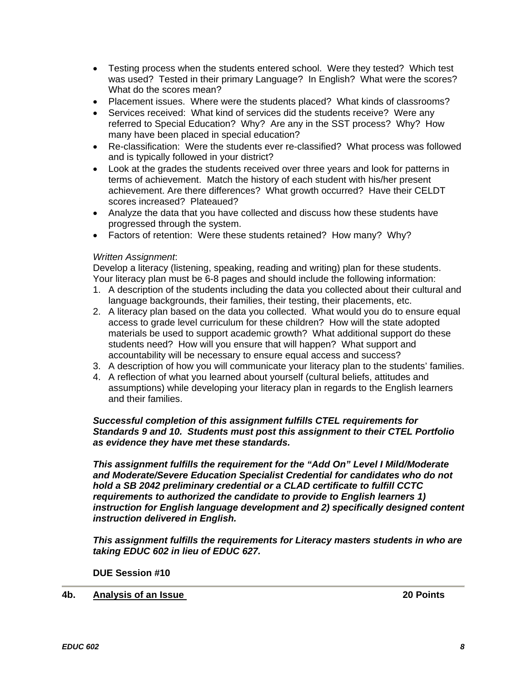- Testing process when the students entered school. Were they tested? Which test was used? Tested in their primary Language? In English? What were the scores? What do the scores mean?
- Placement issues. Where were the students placed? What kinds of classrooms?
- Services received: What kind of services did the students receive? Were any referred to Special Education? Why? Are any in the SST process? Why? How many have been placed in special education?
- Re-classification: Were the students ever re-classified? What process was followed and is typically followed in your district?
- Look at the grades the students received over three years and look for patterns in terms of achievement. Match the history of each student with his/her present achievement. Are there differences? What growth occurred? Have their CELDT scores increased? Plateaued?
- Analyze the data that you have collected and discuss how these students have progressed through the system.
- Factors of retention: Were these students retained? How many? Why?

# *Written Assignment*:

Develop a literacy (listening, speaking, reading and writing) plan for these students. Your literacy plan must be 6-8 pages and should include the following information:

- 1. A description of the students including the data you collected about their cultural and language backgrounds, their families, their testing, their placements, etc.
- accountability will be necessary to ensure equal access and success? 2. A literacy plan based on the data you collected. What would you do to ensure equal access to grade level curriculum for these children? How will the state adopted materials be used to support academic growth? What additional support do these students need? How will you ensure that will happen? What support and
- 3. A description of how you will communicate your literacy plan to the students' families.
- 4. A reflection of what you learned about yourself (cultural beliefs, attitudes and assumptions) while developing your literacy plan in regards to the English learners and their families.

# *Successful completion of this assignment fulfills CTEL requirements for Standards 9 and 10. Students must post this assignment to their CTEL Portfolio as evidence they have met these standards.*

*This assignment fulfills the requirement for the "Add On" Level I Mild/Moderate and Moderate/Severe Education Specialist Credential for candidates who do not hold a SB 2042 preliminary credential or a CLAD certificate to fulfill CCTC requirements to authorized the candidate to provide to English learners 1) instruction for English language development and 2) specifically designed content instruction delivered in English.* 

*This assignment fulfills the requirements for Literacy masters students in who are taking EDUC 602 in lieu of EDUC 627.* 

**DUE Session #10** 

**4b.** Analysis of an Issue

20 Points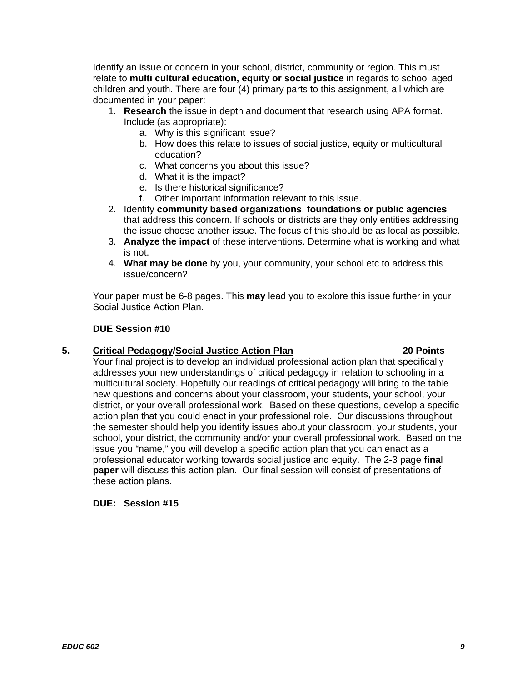Identify an issue or concern in your school, district, community or region. This must relate to **multi cultural education, equity or social justice** in regards to school aged children and youth. There are four (4) primary parts to this assignment, all which are documented in your paper:

- 1. **Research** the issue in depth and document that research using APA format. Include (as appropriate):
	- a. Why is this significant issue?
	- b. How does this relate to issues of social justice, equity or multicultural education?
	- c. What concerns you about this issue?
	- d. What it is the impact?
	- e. Is there historical significance?
	- f. Other important information relevant to this issue.
- 2. Identify **community based organizations**, **foundations or public agencies**  that address this concern. If schools or districts are they only entities addressing the issue choose another issue. The focus of this should be as local as possible.
- 3. **Analyze the impact** of these interventions. Determine what is working and what is not.
- 4. **What may be done** by you, your community, your school etc to address this issue/concern?

Your paper must be 6-8 pages. This **may** lead you to explore this issue further in your Social Justice Action Plan.

# **DUE Session #10**

# 5. Critical Pedagogy/Social Justice Action Plan **1988** 20 Points

Your final project is to develop an individual professional action plan that specifically addresses your new understandings of critical pedagogy in relation to schooling in a multicultural society. Hopefully our readings of critical pedagogy will bring to the table new questions and concerns about your classroom, your students, your school, your district, or your overall professional work. Based on these questions, develop a specific action plan that you could enact in your professional role. Our discussions throughout the semester should help you identify issues about your classroom, your students, your school, your district, the community and/or your overall professional work. Based on the issue you "name," you will develop a specific action plan that you can enact as a professional educator working towards social justice and equity. The 2-3 page **final paper** will discuss this action plan. Our final session will consist of presentations of these action plans.

# **DUE: Session #15**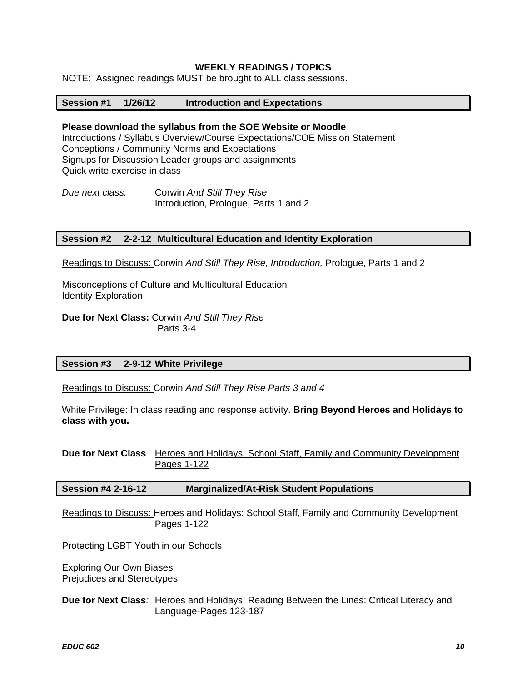# **WEEKLY READINGS / TOPICS**

NOTE: Assigned readings MUST be brought to ALL class sessions.

#### **Introduction and Expectations**

**Session #1 1/26/12 Introduction and Expectations Please download the syllabus from the SOE Website or Moodle**  Introductions / Syllabus Overview/Course Expectations/COE Mission Statement Conceptions / Community Norms and Expectations Signups for Discussion Leader groups and assignments Quick write exercise in class

*Due next class:* Corwin *And Still They Rise*  Introduction, Prologue, Parts 1 and 2

#### **Session #2 2-2-12 Multicultural Education and Identity Exploration**

Readings to Discuss: Corwin *And Still They Rise, Introduction,* Prologue, Parts 1 and 2

Misconceptions of Culture and Multicultural Education Identity Exploration

**Due for Next Class:** Corwin *And Still They Rise*  Parts 3-4

#### **Session #3 2-9-12 White Privilege**

Readings to Discuss: Corwin *And Still They Rise Parts 3 and 4* 

White Privilege: In class reading and response activity. **Bring Beyond Heroes and Holidays to class with you.** 

**Due for Next Class** Heroes and Holidays: School Staff, Family and Community Development Pages 1-122

#### **Session #4 2-16-12 Marginalized/At-Risk Student Populations**

Readings to Discuss: Heroes and Holidays: School Staff, Family and Community Development Pages 1-122

Protecting LGBT Youth in our Schools

Exploring Our Own Biases Prejudices and Stereotypes

**Due for Next Class**: Heroes and Holidays: Reading Between the Lines: Critical Literacy and Language-Pages 123-187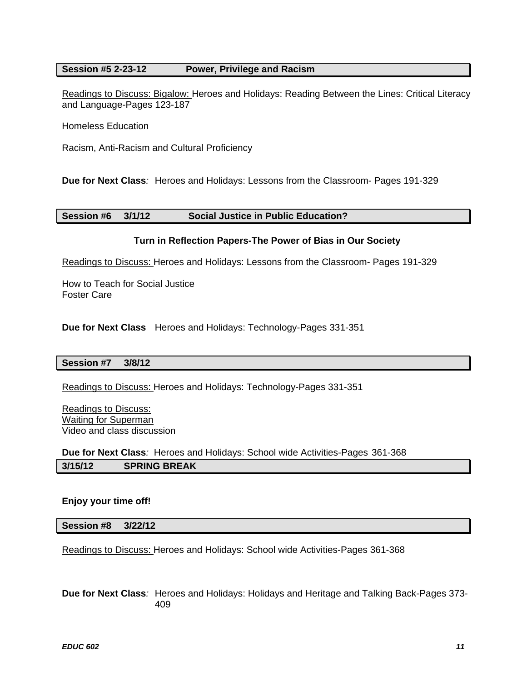# **Session #5 2-23-12 Power, Privilege and Racism**

Readings to Discuss: Bigalow: Heroes and Holidays: Reading Between the Lines: Critical Literacy and Language-Pages 123-187

Homeless Education

Racism, Anti-Racism and Cultural Proficiency

**Due for Next Class***:* Heroes and Holidays: Lessons from the Classroom- Pages 191-329

#### **Session #6 3/1/12 Social Justice in Public Education?**

#### **Turn in Reflection Papers-The Power of Bias in Our Society**

Readings to Discuss: Heroes and Holidays: Lessons from the Classroom- Pages 191-329

How to Teach for Social Justice Foster Care

**Due for Next Class** Heroes and Holidays: Technology-Pages 331-351

#### **Session #7 3/8/12**

Readings to Discuss: Heroes and Holidays: Technology-Pages 331-351

Readings to Discuss: Waiting for Superman Video and class discussion

**Due for Next Class***:* Heroes and Holidays: School wide Activities-Pages 361-368 **3/15/12 SPRING BREAK** 

#### **Enjoy your time off!**

**Session #8 3/22/12** 

Readings to Discuss: Heroes and Holidays: School wide Activities-Pages 361-368

**Due for Next Class***:* Heroes and Holidays: Holidays and Heritage and Talking Back-Pages 373- 409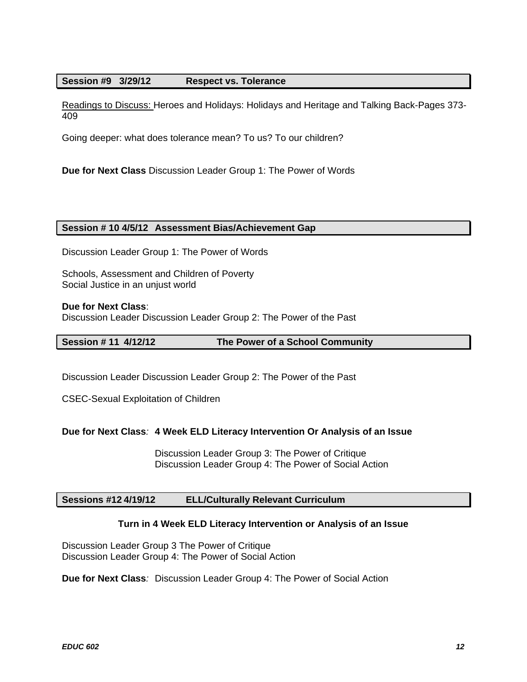#### **Session #9 3/29/12 Respect vs. Tolerance**

409 Readings to Discuss: Heroes and Holidays: Holidays and Heritage and Talking Back-Pages 373-

Going deeper: what does tolerance mean? To us? To our children?

**Due for Next Class** Discussion Leader Group 1: The Power of Words

#### **Session # 10 4/5/12 Assessment Bias/Achievement Gap**

Discussion Leader Group 1: The Power of Words

Schools, Assessment and Children of Poverty Social Justice in an unjust world

**Due for Next Class**:

Discussion Leader Discussion Leader Group 2: The Power of the Past

#### **Session # 11 4/12/12 The Power of a School Community**

Discussion Leader Discussion Leader Group 2: The Power of the Past

CSEC-Sexual Exploitation of Children

# **Due for Next Class***:* **4 Week ELD Literacy Intervention Or Analysis of an Issue**

Discussion Leader Group 3: The Power of Critique Discussion Leader Group 4: The Power of Social Action

# **Sessions #12 4/19/12 ELL/Culturally Relevant Curriculum**

#### **Turn in 4 Week ELD Literacy Intervention or Analysis of an Issue**

Discussion Leader Group 3 The Power of Critique Discussion Leader Group 4: The Power of Social Action

**Due for Next Class***:* Discussion Leader Group 4: The Power of Social Action